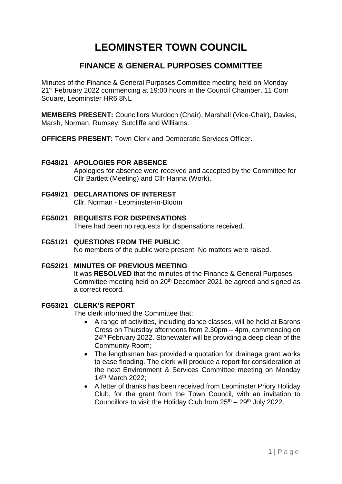# **LEOMINSTER TOWN COUNCIL**

# **FINANCE & GENERAL PURPOSES COMMITTEE**

Minutes of the Finance & General Purposes Committee meeting held on Monday 21<sup>st</sup> February 2022 commencing at 19:00 hours in the Council Chamber, 11 Corn Square, Leominster HR6 8NL

**MEMBERS PRESENT:** Councillors Murdoch (Chair), Marshall (Vice-Chair), Davies, Marsh, Norman, Rumsey, Sutcliffe and Williams.

**OFFICERS PRESENT:** Town Clerk and Democratic Services Officer.

# **FG48/21 APOLOGIES FOR ABSENCE**

Apologies for absence were received and accepted by the Committee for Cllr Bartlett (Meeting) and Cllr Hanna (Work).

# **FG49/21 DECLARATIONS OF INTEREST**

Cllr. Norman - Leominster-in-Bloom

**FG50/21 REQUESTS FOR DISPENSATIONS**

There had been no requests for dispensations received.

# **FG51/21 QUESTIONS FROM THE PUBLIC**

No members of the public were present. No matters were raised.

#### **FG52/21 MINUTES OF PREVIOUS MEETING**

It was **RESOLVED** that the minutes of the Finance & General Purposes Committee meeting held on 20<sup>th</sup> December 2021 be agreed and signed as a correct record.

#### **FG53/21 CLERK'S REPORT**

The clerk informed the Committee that:

- A range of activities, including dance classes, will be held at Barons Cross on Thursday afternoons from 2.30pm – 4pm, commencing on 24<sup>th</sup> February 2022. Stonewater will be providing a deep clean of the Community Room;
- The lengthsman has provided a quotation for drainage grant works to ease flooding. The clerk will produce a report for consideration at the next Environment & Services Committee meeting on Monday 14th March 2022;
- A letter of thanks has been received from Leominster Priory Holiday Club, for the grant from the Town Council, with an invitation to Councillors to visit the Holiday Club from  $25<sup>th</sup> - 29<sup>th</sup>$  July 2022.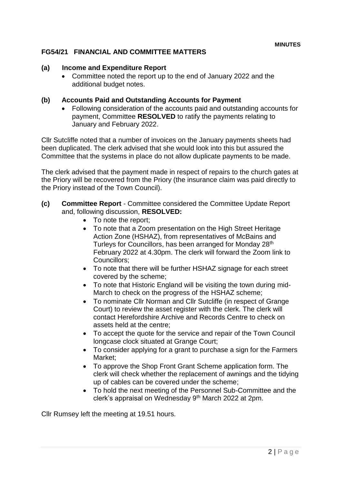#### **FG54/21 FINANCIAL AND COMMITTEE MATTERS**

#### **(a) Income and Expenditure Report**

 Committee noted the report up to the end of January 2022 and the additional budget notes.

#### **(b) Accounts Paid and Outstanding Accounts for Payment**

 Following consideration of the accounts paid and outstanding accounts for payment, Committee **RESOLVED** to ratify the payments relating to January and February 2022.

Cllr Sutcliffe noted that a number of invoices on the January payments sheets had been duplicated. The clerk advised that she would look into this but assured the Committee that the systems in place do not allow duplicate payments to be made.

The clerk advised that the payment made in respect of repairs to the church gates at the Priory will be recovered from the Priory (the insurance claim was paid directly to the Priory instead of the Town Council).

- **(c) Committee Report** Committee considered the Committee Update Report and, following discussion, **RESOLVED:**
	- To note the report;
	- To note that a Zoom presentation on the High Street Heritage Action Zone (HSHAZ), from representatives of McBains and Turleys for Councillors, has been arranged for Monday 28<sup>th</sup> February 2022 at 4.30pm. The clerk will forward the Zoom link to Councillors;
	- To note that there will be further HSHAZ signage for each street covered by the scheme;
	- To note that Historic England will be visiting the town during mid-March to check on the progress of the HSHAZ scheme;
	- To nominate Cllr Norman and Cllr Sutcliffe (in respect of Grange Court) to review the asset register with the clerk. The clerk will contact Herefordshire Archive and Records Centre to check on assets held at the centre;
	- To accept the quote for the service and repair of the Town Council longcase clock situated at Grange Court;
	- To consider applying for a grant to purchase a sign for the Farmers Market;
	- To approve the Shop Front Grant Scheme application form. The clerk will check whether the replacement of awnings and the tidying up of cables can be covered under the scheme;
	- To hold the next meeting of the Personnel Sub-Committee and the clerk's appraisal on Wednesday 9th March 2022 at 2pm.

Cllr Rumsey left the meeting at 19.51 hours.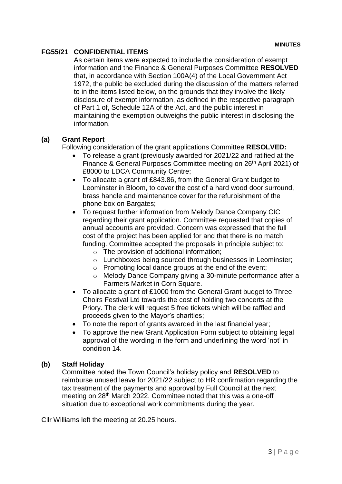# **FG55/21 CONFIDENTIAL ITEMS**

As certain items were expected to include the consideration of exempt information and the Finance & General Purposes Committee **RESOLVED**  that, in accordance with Section 100A(4) of the Local Government Act 1972, the public be excluded during the discussion of the matters referred to in the items listed below, on the grounds that they involve the likely disclosure of exempt information, as defined in the respective paragraph of Part 1 of, Schedule 12A of the Act, and the public interest in maintaining the exemption outweighs the public interest in disclosing the information.

# **(a) Grant Report**

Following consideration of the grant applications Committee **RESOLVED:**

- To release a grant (previously awarded for 2021/22 and ratified at the Finance & General Purposes Committee meeting on 26<sup>th</sup> April 2021) of £8000 to LDCA Community Centre;
- To allocate a grant of £843.86, from the General Grant budget to Leominster in Bloom, to cover the cost of a hard wood door surround, brass handle and maintenance cover for the refurbishment of the phone box on Bargates;
- To request further information from Melody Dance Company CIC regarding their grant application. Committee requested that copies of annual accounts are provided. Concern was expressed that the full cost of the project has been applied for and that there is no match funding. Committee accepted the proposals in principle subject to:
	- o The provision of additional information;
	- o Lunchboxes being sourced through businesses in Leominster;
	- o Promoting local dance groups at the end of the event;
	- o Melody Dance Company giving a 30-minute performance after a Farmers Market in Corn Square.
- To allocate a grant of £1000 from the General Grant budget to Three Choirs Festival Ltd towards the cost of holding two concerts at the Priory. The clerk will request 5 free tickets which will be raffled and proceeds given to the Mayor's charities;
- To note the report of grants awarded in the last financial year;
- To approve the new Grant Application Form subject to obtaining legal approval of the wording in the form and underlining the word 'not' in condition 14.

#### **(b) Staff Holiday**

Committee noted the Town Council's holiday policy and **RESOLVED** to reimburse unused leave for 2021/22 subject to HR confirmation regarding the tax treatment of the payments and approval by Full Council at the next meeting on 28th March 2022. Committee noted that this was a one-off situation due to exceptional work commitments during the year.

Cllr Williams left the meeting at 20.25 hours.